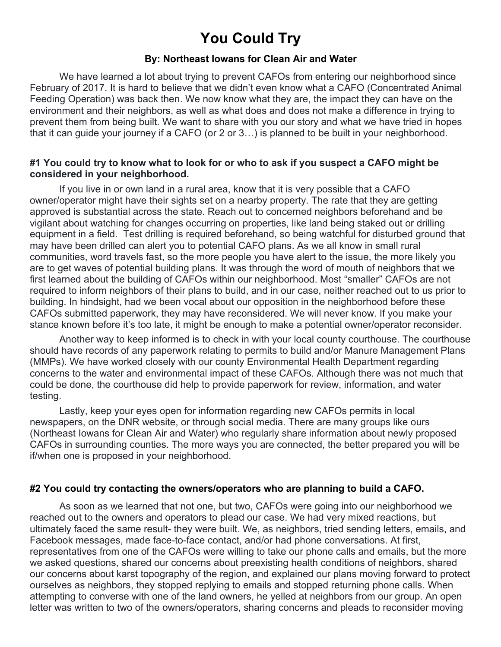# **You Could Try**

## **By: Northeast Iowans for Clean Air and Water**

We have learned a lot about trying to prevent CAFOs from entering our neighborhood since February of 2017. It is hard to believe that we didn't even know what a CAFO (Concentrated Animal Feeding Operation) was back then. We now know what they are, the impact they can have on the environment and their neighbors, as well as what does and does not make a difference in trying to prevent them from being built. We want to share with you our story and what we have tried in hopes that it can guide your journey if a CAFO (or 2 or 3…) is planned to be built in your neighborhood.

### **#1 You could try to know what to look for or who to ask if you suspect a CAFO might be considered in your neighborhood.**

If you live in or own land in a rural area, know that it is very possible that a CAFO owner/operator might have their sights set on a nearby property. The rate that they are getting approved is substantial across the state. Reach out to concerned neighbors beforehand and be vigilant about watching for changes occurring on properties, like land being staked out or drilling equipment in a field. Test drilling is required beforehand, so being watchful for disturbed ground that may have been drilled can alert you to potential CAFO plans. As we all know in small rural communities, word travels fast, so the more people you have alert to the issue, the more likely you are to get waves of potential building plans. It was through the word of mouth of neighbors that we first learned about the building of CAFOs within our neighborhood. Most "smaller" CAFOs are not required to inform neighbors of their plans to build, and in our case, neither reached out to us prior to building. In hindsight, had we been vocal about our opposition in the neighborhood before these CAFOs submitted paperwork, they may have reconsidered. We will never know. If you make your stance known before it's too late, it might be enough to make a potential owner/operator reconsider.

Another way to keep informed is to check in with your local county courthouse. The courthouse should have records of any paperwork relating to permits to build and/or Manure Management Plans (MMPs). We have worked closely with our county Environmental Health Department regarding concerns to the water and environmental impact of these CAFOs. Although there was not much that could be done, the courthouse did help to provide paperwork for review, information, and water testing.

Lastly, keep your eyes open for information regarding new CAFOs permits in local newspapers, on the DNR website, or through social media. There are many groups like ours (Northeast Iowans for Clean Air and Water) who regularly share information about newly proposed CAFOs in surrounding counties. The more ways you are connected, the better prepared you will be if/when one is proposed in your neighborhood.

### **#2 You could try contacting the owners/operators who are planning to build a CAFO.**

As soon as we learned that not one, but two, CAFOs were going into our neighborhood we reached out to the owners and operators to plead our case. We had very mixed reactions, but ultimately faced the same result- they were built. We, as neighbors, tried sending letters, emails, and Facebook messages, made face-to-face contact, and/or had phone conversations. At first, representatives from one of the CAFOs were willing to take our phone calls and emails, but the more we asked questions, shared our concerns about preexisting health conditions of neighbors, shared our concerns about karst topography of the region, and explained our plans moving forward to protect ourselves as neighbors, they stopped replying to emails and stopped returning phone calls. When attempting to converse with one of the land owners, he yelled at neighbors from our group. An open letter was written to two of the owners/operators, sharing concerns and pleads to reconsider moving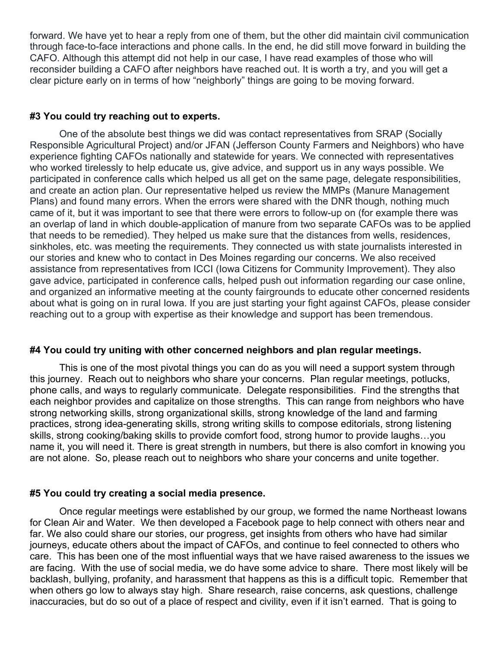forward. We have yet to hear a reply from one of them, but the other did maintain civil communication through face-to-face interactions and phone calls. In the end, he did still move forward in building the CAFO. Although this attempt did not help in our case, I have read examples of those who will reconsider building a CAFO after neighbors have reached out. It is worth a try, and you will get a clear picture early on in terms of how "neighborly" things are going to be moving forward.

# **#3 You could try reaching out to experts.**

One of the absolute best things we did was contact representatives from SRAP (Socially Responsible Agricultural Project) and/or JFAN (Jefferson County Farmers and Neighbors) who have experience fighting CAFOs nationally and statewide for years. We connected with representatives who worked tirelessly to help educate us, give advice, and support us in any ways possible. We participated in conference calls which helped us all get on the same page, delegate responsibilities, and create an action plan. Our representative helped us review the MMPs (Manure Management Plans) and found many errors. When the errors were shared with the DNR though, nothing much came of it, but it was important to see that there were errors to follow-up on (for example there was an overlap of land in which double-application of manure from two separate CAFOs was to be applied that needs to be remedied). They helped us make sure that the distances from wells, residences, sinkholes, etc. was meeting the requirements. They connected us with state journalists interested in our stories and knew who to contact in Des Moines regarding our concerns. We also received assistance from representatives from ICCI (Iowa Citizens for Community Improvement). They also gave advice, participated in conference calls, helped push out information regarding our case online, and organized an informative meeting at the county fairgrounds to educate other concerned residents about what is going on in rural Iowa. If you are just starting your fight against CAFOs, please consider reaching out to a group with expertise as their knowledge and support has been tremendous.

#### **#4 You could try uniting with other concerned neighbors and plan regular meetings.**

This is one of the most pivotal things you can do as you will need a support system through this journey. Reach out to neighbors who share your concerns. Plan regular meetings, potlucks, phone calls, and ways to regularly communicate. Delegate responsibilities. Find the strengths that each neighbor provides and capitalize on those strengths. This can range from neighbors who have strong networking skills, strong organizational skills, strong knowledge of the land and farming practices, strong idea-generating skills, strong writing skills to compose editorials, strong listening skills, strong cooking/baking skills to provide comfort food, strong humor to provide laughs…you name it, you will need it. There is great strength in numbers, but there is also comfort in knowing you are not alone. So, please reach out to neighbors who share your concerns and unite together.

# **#5 You could try creating a social media presence.**

Once regular meetings were established by our group, we formed the name Northeast Iowans for Clean Air and Water. We then developed a Facebook page to help connect with others near and far. We also could share our stories, our progress, get insights from others who have had similar journeys, educate others about the impact of CAFOs, and continue to feel connected to others who care. This has been one of the most influential ways that we have raised awareness to the issues we are facing. With the use of social media, we do have some advice to share. There most likely will be backlash, bullying, profanity, and harassment that happens as this is a difficult topic. Remember that when others go low to always stay high. Share research, raise concerns, ask questions, challenge inaccuracies, but do so out of a place of respect and civility, even if it isn't earned. That is going to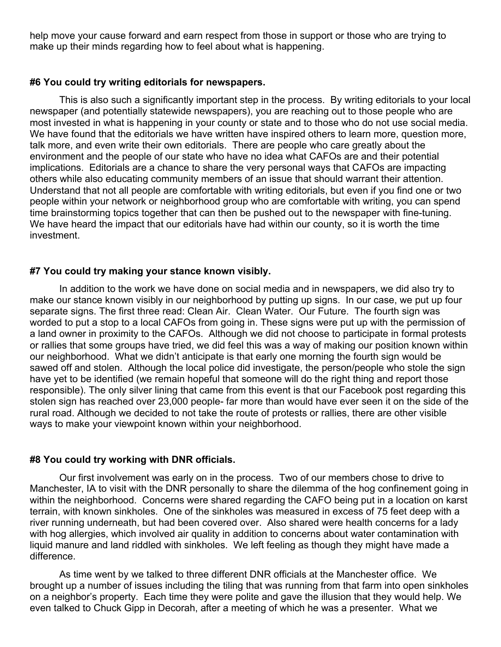help move your cause forward and earn respect from those in support or those who are trying to make up their minds regarding how to feel about what is happening.

#### **#6 You could try writing editorials for newspapers.**

This is also such a significantly important step in the process. By writing editorials to your local newspaper (and potentially statewide newspapers), you are reaching out to those people who are most invested in what is happening in your county or state and to those who do not use social media. We have found that the editorials we have written have inspired others to learn more, question more, talk more, and even write their own editorials. There are people who care greatly about the environment and the people of our state who have no idea what CAFOs are and their potential implications. Editorials are a chance to share the very personal ways that CAFOs are impacting others while also educating community members of an issue that should warrant their attention. Understand that not all people are comfortable with writing editorials, but even if you find one or two people within your network or neighborhood group who are comfortable with writing, you can spend time brainstorming topics together that can then be pushed out to the newspaper with fine-tuning. We have heard the impact that our editorials have had within our county, so it is worth the time investment.

### **#7 You could try making your stance known visibly.**

In addition to the work we have done on social media and in newspapers, we did also try to make our stance known visibly in our neighborhood by putting up signs. In our case, we put up four separate signs. The first three read: Clean Air. Clean Water. Our Future. The fourth sign was worded to put a stop to a local CAFOs from going in. These signs were put up with the permission of a land owner in proximity to the CAFOs. Although we did not choose to participate in formal protests or rallies that some groups have tried, we did feel this was a way of making our position known within our neighborhood. What we didn't anticipate is that early one morning the fourth sign would be sawed off and stolen. Although the local police did investigate, the person/people who stole the sign have yet to be identified (we remain hopeful that someone will do the right thing and report those responsible). The only silver lining that came from this event is that our Facebook post regarding this stolen sign has reached over 23,000 people- far more than would have ever seen it on the side of the rural road. Although we decided to not take the route of protests or rallies, there are other visible ways to make your viewpoint known within your neighborhood.

#### **#8 You could try working with DNR officials.**

Our first involvement was early on in the process. Two of our members chose to drive to Manchester, IA to visit with the DNR personally to share the dilemma of the hog confinement going in within the neighborhood. Concerns were shared regarding the CAFO being put in a location on karst terrain, with known sinkholes. One of the sinkholes was measured in excess of 75 feet deep with a river running underneath, but had been covered over. Also shared were health concerns for a lady with hog allergies, which involved air quality in addition to concerns about water contamination with liquid manure and land riddled with sinkholes. We left feeling as though they might have made a difference.

As time went by we talked to three different DNR officials at the Manchester office. We brought up a number of issues including the tiling that was running from that farm into open sinkholes on a neighbor's property. Each time they were polite and gave the illusion that they would help. We even talked to Chuck Gipp in Decorah, after a meeting of which he was a presenter. What we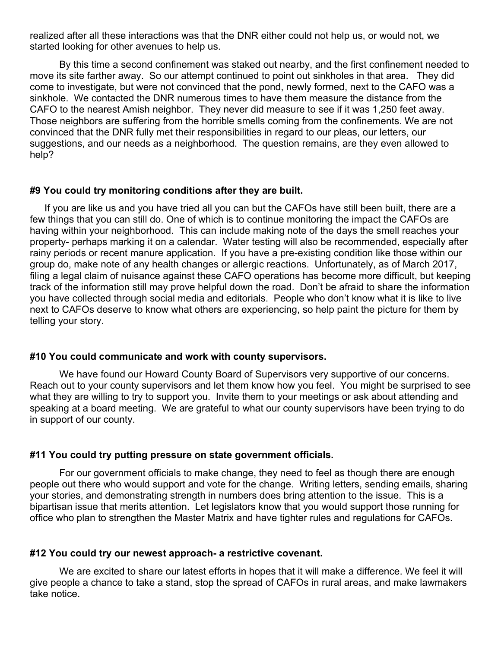realized after all these interactions was that the DNR either could not help us, or would not, we started looking for other avenues to help us.

By this time a second confinement was staked out nearby, and the first confinement needed to move its site farther away. So our attempt continued to point out sinkholes in that area. They did come to investigate, but were not convinced that the pond, newly formed, next to the CAFO was a sinkhole. We contacted the DNR numerous times to have them measure the distance from the CAFO to the nearest Amish neighbor. They never did measure to see if it was 1,250 feet away. Those neighbors are suffering from the horrible smells coming from the confinements. We are not convinced that the DNR fully met their responsibilities in regard to our pleas, our letters, our suggestions, and our needs as a neighborhood. The question remains, are they even allowed to help?

#### **#9 You could try monitoring conditions after they are built.**

If you are like us and you have tried all you can but the CAFOs have still been built, there are a few things that you can still do. One of which is to continue monitoring the impact the CAFOs are having within your neighborhood. This can include making note of the days the smell reaches your property- perhaps marking it on a calendar. Water testing will also be recommended, especially after rainy periods or recent manure application. If you have a pre-existing condition like those within our group do, make note of any health changes or allergic reactions. Unfortunately, as of March 2017, filing a legal claim of nuisance against these CAFO operations has become more difficult, but keeping track of the information still may prove helpful down the road. Don't be afraid to share the information you have collected through social media and editorials. People who don't know what it is like to live next to CAFOs deserve to know what others are experiencing, so help paint the picture for them by telling your story.

#### **#10 You could communicate and work with county supervisors.**

We have found our Howard County Board of Supervisors very supportive of our concerns. Reach out to your county supervisors and let them know how you feel. You might be surprised to see what they are willing to try to support you. Invite them to your meetings or ask about attending and speaking at a board meeting. We are grateful to what our county supervisors have been trying to do in support of our county.

#### **#11 You could try putting pressure on state government officials.**

For our government officials to make change, they need to feel as though there are enough people out there who would support and vote for the change. Writing letters, sending emails, sharing your stories, and demonstrating strength in numbers does bring attention to the issue. This is a bipartisan issue that merits attention. Let legislators know that you would support those running for office who plan to strengthen the Master Matrix and have tighter rules and regulations for CAFOs.

#### **#12 You could try our newest approach- a restrictive covenant.**

We are excited to share our latest efforts in hopes that it will make a difference. We feel it will give people a chance to take a stand, stop the spread of CAFOs in rural areas, and make lawmakers take notice.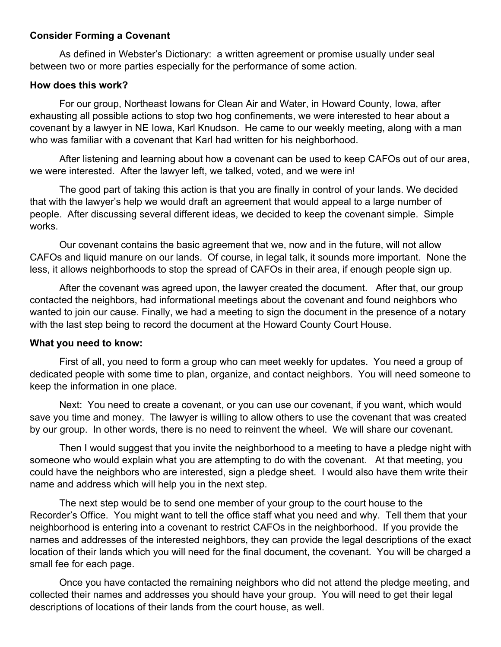# **Consider Forming a Covenant**

As defined in Webster's Dictionary: a written agreement or promise usually under seal between two or more parties especially for the performance of some action.

# **How does this work?**

For our group, Northeast Iowans for Clean Air and Water, in Howard County, Iowa, after exhausting all possible actions to stop two hog confinements, we were interested to hear about a covenant by a lawyer in NE Iowa, Karl Knudson. He came to our weekly meeting, along with a man who was familiar with a covenant that Karl had written for his neighborhood.

After listening and learning about how a covenant can be used to keep CAFOs out of our area, we were interested. After the lawyer left, we talked, voted, and we were in!

The good part of taking this action is that you are finally in control of your lands. We decided that with the lawyer's help we would draft an agreement that would appeal to a large number of people. After discussing several different ideas, we decided to keep the covenant simple. Simple works.

Our covenant contains the basic agreement that we, now and in the future, will not allow CAFOs and liquid manure on our lands. Of course, in legal talk, it sounds more important. None the less, it allows neighborhoods to stop the spread of CAFOs in their area, if enough people sign up.

After the covenant was agreed upon, the lawyer created the document. After that, our group contacted the neighbors, had informational meetings about the covenant and found neighbors who wanted to join our cause. Finally, we had a meeting to sign the document in the presence of a notary with the last step being to record the document at the Howard County Court House.

# **What you need to know:**

First of all, you need to form a group who can meet weekly for updates. You need a group of dedicated people with some time to plan, organize, and contact neighbors. You will need someone to keep the information in one place.

Next: You need to create a covenant, or you can use our covenant, if you want, which would save you time and money. The lawyer is willing to allow others to use the covenant that was created by our group. In other words, there is no need to reinvent the wheel. We will share our covenant.

Then I would suggest that you invite the neighborhood to a meeting to have a pledge night with someone who would explain what you are attempting to do with the covenant. At that meeting, you could have the neighbors who are interested, sign a pledge sheet. I would also have them write their name and address which will help you in the next step.

The next step would be to send one member of your group to the court house to the Recorder's Office. You might want to tell the office staff what you need and why. Tell them that your neighborhood is entering into a covenant to restrict CAFOs in the neighborhood. If you provide the names and addresses of the interested neighbors, they can provide the legal descriptions of the exact location of their lands which you will need for the final document, the covenant. You will be charged a small fee for each page.

Once you have contacted the remaining neighbors who did not attend the pledge meeting, and collected their names and addresses you should have your group. You will need to get their legal descriptions of locations of their lands from the court house, as well.